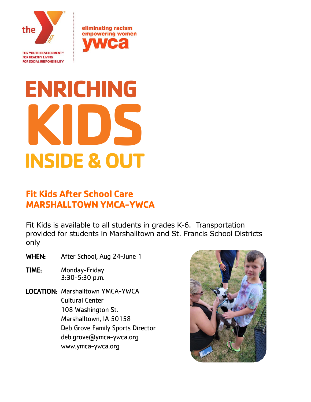

**FOR YOUTH DEVELOPMENT® FOR HEALTHY LIVING FOR SOCIAL RESPONSIBILITY**  eliminating racism empowering women

# **ENRICHING KIDS INSIDE & OUT**

# **Fit Kids After School Care MARSHALLTOWN YMCA-YWCA**

Fit Kids is available to all students in grades K-6. Transportation provided for students in Marshalltown and St. Francis School Districts only

WHEN: After School, Aug 24-June 1

- TIME: Monday-Friday 3:30-5:30 p.m.
- LOCATION: Marshalltown YMCA-YWCA Cultural Center 108 Washington St. Marshalltown, IA 50158 Deb Grove Family Sports Director deb.grove@ymca-ywca.org www.ymca-ywca.org

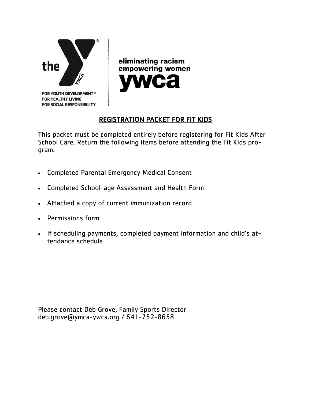

eliminating racism empowering women

## REGISTRATION PACKET FOR FIT KIDS

This packet must be completed entirely before registering for Fit Kids After School Care. Return the following items before attending the Fit Kids program.

- Completed Parental Emergency Medical Consent
- Completed School-age Assessment and Health Form
- Attached a copy of current immunization record
- Permissions form
- If scheduling payments, completed payment information and child's attendance schedule

Please contact Deb Grove, Family Sports Director deb.grove@ymca-ywca.org / 641-752-8658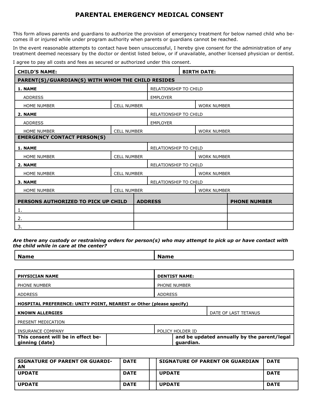### **PARENTAL EMERGENCY MEDICAL CONSENT**

This form allows parents and guardians to authorize the provision of emergency treatment for below named child who becomes ill or injured while under program authority when parents or guardians cannot be reached.

In the event reasonable attempts to contact have been unsuccessful, I hereby give consent for the administration of any treatment deemed necessary by the doctor or dentist listed below, or if unavailable, another licensed physician or dentist.

I agree to pay all costs and fees as secured or authorized under this consent.

| <b>CHILD'S NAME:</b>                              |                    |                       | <b>BIRTH DATE:</b>           |  |                     |  |
|---------------------------------------------------|--------------------|-----------------------|------------------------------|--|---------------------|--|
| PARENT(S)/GUARDIAN(S) WITH WHOM THE CHILD RESIDES |                    |                       |                              |  |                     |  |
| 1. NAME                                           |                    |                       | RELATIONSHIP TO CHILD        |  |                     |  |
| <b>ADDRESS</b>                                    |                    |                       | <b>EMPLOYER</b>              |  |                     |  |
| <b>HOME NUMBER</b>                                | <b>CELL NUMBER</b> |                       |                              |  | <b>WORK NUMBER</b>  |  |
| 2. NAME                                           |                    |                       | <b>RELATIONSHIP TO CHILD</b> |  |                     |  |
| <b>ADDRESS</b>                                    |                    |                       | <b>EMPLOYER</b>              |  |                     |  |
| <b>HOME NUMBER</b>                                | <b>CELL NUMBER</b> |                       |                              |  | <b>WORK NUMBER</b>  |  |
| <b>EMERGENCY CONTACT PERSON(S)</b>                |                    |                       |                              |  |                     |  |
| 1. NAME                                           |                    | RELATIONSHIP TO CHILD |                              |  |                     |  |
| <b>HOME NUMBER</b>                                | <b>CELL NUMBER</b> |                       |                              |  | <b>WORK NUMBER</b>  |  |
| 2. NAME                                           |                    |                       | RELATIONSHIP TO CHILD        |  |                     |  |
| <b>HOME NUMBER</b>                                | <b>CELL NUMBER</b> |                       |                              |  | <b>WORK NUMBER</b>  |  |
| 3. NAME                                           |                    | RELATIONSHIP TO CHILD |                              |  |                     |  |
| <b>HOME NUMBER</b>                                | <b>CELL NUMBER</b> |                       |                              |  | <b>WORK NUMBER</b>  |  |
| PERSONS AUTHORIZED TO PICK UP CHILD               |                    | <b>ADDRESS</b>        |                              |  | <b>PHONE NUMBER</b> |  |
| 1.                                                |                    |                       |                              |  |                     |  |
| 2.                                                |                    |                       |                              |  |                     |  |
| 3.                                                |                    |                       |                              |  |                     |  |

*Are there any custody or restraining orders for person(s) who may attempt to pick up or have contact with the child while in care at the center?*

| <b>Name</b> | 5ma<br>м. |
|-------------|-----------|
|             |           |

| <b>PHYSICIAN NAME</b>                                               | <b>DENTIST NAME:</b>                                     |
|---------------------------------------------------------------------|----------------------------------------------------------|
| PHONE NUMBER                                                        | PHONE NUMBER                                             |
| <b>ADDRESS</b>                                                      | <b>ADDRESS</b>                                           |
| HOSPITAL PREFERENCE: UNITY POINT, NEAREST or Other (please specify) |                                                          |
| <b>KNOWN ALLERGIES</b>                                              | DATE OF LAST TETANUS                                     |
| PRESENT MEDICATION                                                  |                                                          |
| INSURANCE COMPANY                                                   | POLICY HOLDER ID                                         |
| This consent will be in effect be-<br>ginning (date)                | and be updated annually by the parent/legal<br>guardian. |

| <b>SIGNATURE OF PARENT OR GUARDI-</b><br>AN | <b>DATE</b> | <b>SIGNATURE OF PARENT OR GUARDIAN</b> | <b>DATE</b> |
|---------------------------------------------|-------------|----------------------------------------|-------------|
| <b>UPDATE</b>                               | <b>DATE</b> | <b>UPDATE</b>                          | <b>DATE</b> |
| <b>UPDATE</b>                               | <b>DATE</b> | <b>UPDATE</b>                          | <b>DATE</b> |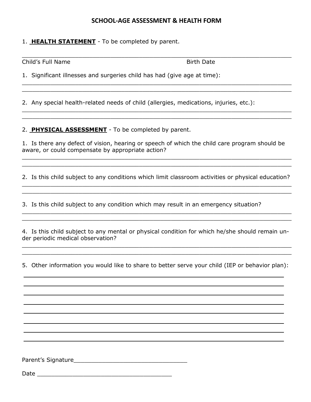#### **SCHOOL-AGE ASSESSMENT & HEALTH FORM**

 $\_$  , and the contribution of the contribution of the contribution of the contribution of  $\mathcal{L}_\mathcal{A}$ 

\_\_\_\_\_\_\_\_\_\_\_\_\_\_\_\_\_\_\_\_\_\_\_\_\_\_\_\_\_\_\_\_\_\_\_\_\_\_\_\_\_\_\_\_\_\_\_\_\_\_\_\_\_\_\_\_\_\_\_\_\_\_\_\_\_\_\_\_\_\_\_\_\_\_\_\_ \_\_\_\_\_\_\_\_\_\_\_\_\_\_\_\_\_\_\_\_\_\_\_\_\_\_\_\_\_\_\_\_\_\_\_\_\_\_\_\_\_\_\_\_\_\_\_\_\_\_\_\_\_\_\_\_\_\_\_\_\_\_\_\_\_\_\_\_\_\_\_\_\_\_\_\_

\_\_\_\_\_\_\_\_\_\_\_\_\_\_\_\_\_\_\_\_\_\_\_\_\_\_\_\_\_\_\_\_\_\_\_\_\_\_\_\_\_\_\_\_\_\_\_\_\_\_\_\_\_\_\_\_\_\_\_\_\_\_\_\_\_\_\_\_\_\_\_\_\_\_\_\_  $\_$  , and the contribution of the contribution of the contribution of the contribution of  $\mathcal{L}_\mathcal{A}$ 

1. **HEALTH STATEMENT** - To be completed by parent.

Child's Full Name **Birth Date Birth Date** 

1. Significant illnesses and surgeries child has had (give age at time):

2. Any special health-related needs of child (allergies, medications, injuries, etc.):

2. **PHYSICAL ASSESSMENT** - To be completed by parent.

1. Is there any defect of vision, hearing or speech of which the child care program should be aware, or could compensate by appropriate action?

2. Is this child subject to any conditions which limit classroom activities or physical education? \_\_\_\_\_\_\_\_\_\_\_\_\_\_\_\_\_\_\_\_\_\_\_\_\_\_\_\_\_\_\_\_\_\_\_\_\_\_\_\_\_\_\_\_\_\_\_\_\_\_\_\_\_\_\_\_\_\_\_\_\_\_\_\_\_\_\_\_\_\_\_\_\_\_\_\_

\_\_\_\_\_\_\_\_\_\_\_\_\_\_\_\_\_\_\_\_\_\_\_\_\_\_\_\_\_\_\_\_\_\_\_\_\_\_\_\_\_\_\_\_\_\_\_\_\_\_\_\_\_\_\_\_\_\_\_\_\_\_\_\_\_\_\_\_\_\_\_\_\_\_\_\_

 $\_$  , and the contribution of the contribution of the contribution of the contribution of  $\mathcal{L}_\mathcal{A}$ \_\_\_\_\_\_\_\_\_\_\_\_\_\_\_\_\_\_\_\_\_\_\_\_\_\_\_\_\_\_\_\_\_\_\_\_\_\_\_\_\_\_\_\_\_\_\_\_\_\_\_\_\_\_\_\_\_\_\_\_\_\_\_\_\_\_\_\_\_\_\_\_\_\_\_\_

 $\_$  , and the contribution of the contribution of the contribution of the contribution of  $\mathcal{L}_\mathcal{A}$ \_\_\_\_\_\_\_\_\_\_\_\_\_\_\_\_\_\_\_\_\_\_\_\_\_\_\_\_\_\_\_\_\_\_\_\_\_\_\_\_\_\_\_\_\_\_\_\_\_\_\_\_\_\_\_\_\_\_\_\_\_\_\_\_\_\_\_\_\_\_\_\_\_\_\_\_

3. Is this child subject to any condition which may result in an emergency situation?

4. Is this child subject to any mental or physical condition for which he/she should remain under periodic medical observation?

\_\_\_\_\_\_\_\_\_\_\_\_\_\_\_\_\_\_\_\_\_\_\_\_\_\_\_\_\_\_\_\_\_\_\_\_\_\_\_\_\_\_\_\_\_\_\_\_\_\_\_\_\_\_\_\_\_\_\_\_\_\_\_\_\_\_\_\_\_\_\_\_\_\_\_\_  $\_$  , and the contribution of the contribution of the contribution of the contribution of  $\mathcal{L}_\mathcal{A}$ 

5. Other information you would like to share to better serve your child (IEP or behavior plan):

Parent's Signature\_\_\_\_\_\_\_\_\_\_\_\_\_\_\_\_\_\_\_\_\_\_\_\_\_\_\_\_\_\_\_\_

Date \_\_\_\_\_\_\_\_\_\_\_\_\_\_\_\_\_\_\_\_\_\_\_\_\_\_\_\_\_\_\_\_\_\_\_\_\_\_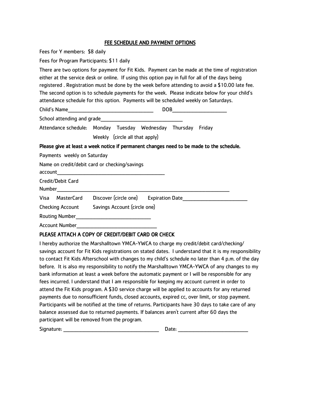#### FEE SCHEDULE AND PAYMENT OPTIONS

Fees for Y members: \$8 daily

Fees for Program Participants: \$11 daily

There are two options for payment for Fit Kids. Payment can be made at the time of registration either at the service desk or online. If using this option pay in full for all of the days being registered . Registration must be done by the week before attending to avoid a \$10.00 late fee. The second option is to schedule payments for the week. Please indicate below for your child's attendance schedule for this option. Payments will be scheduled weekly on Saturdays.

| Child's Name               | DOB |  |
|----------------------------|-----|--|
| School attending and grade |     |  |

Attendance schedule: Monday Tuesday Wednesday Thursday Friday Weekly (circle all that apply)

#### Please give at least a week notice if permanent changes need to be made to the schedule.

Payments weekly on Saturday

|         |                         | Name on credit/debit card or checking/savings                                             |  |
|---------|-------------------------|-------------------------------------------------------------------------------------------|--|
| account |                         | the control of the control of the control of the control of the control of the control of |  |
| Number  | Credit/Debit Card       |                                                                                           |  |
| Visa    | MasterCard              | Discover (circle one) Expiration Date                                                     |  |
|         | <b>Checking Account</b> | Savings Account (circle one)                                                              |  |
|         |                         | Routing Number <b>Example 2018</b>                                                        |  |
|         | <b>Account Number</b>   |                                                                                           |  |

#### PLEASE ATTACH A COPY OF CREDIT/DEBIT CARD OR CHECK

I hereby authorize the Marshalltown YMCA-YWCA to charge my credit/debit card/checking/ savings account for Fit Kids registrations on stated dates. I understand that it is my responsibility to contact Fit Kids Afterschool with changes to my child's schedule no later than 4 p.m. of the day before. It is also my responsibility to notify the Marshalltown YMCA-YWCA of any changes to my bank information at least a week before the automatic payment or I will be responsible for any fees incurred. I understand that I am responsible for keeping my account current in order to attend the Fit Kids program. A \$30 service charge will be applied to accounts for any returned payments due to nonsufficient funds, closed accounts, expired cc, over limit, or stop payment. Participants will be notified at the time of returns. Participants have 30 days to take care of any balance assessed due to returned payments. If balances aren't current after 60 days the participant will be removed from the program.

| Signature: | Date: |  |
|------------|-------|--|
|            |       |  |
|            |       |  |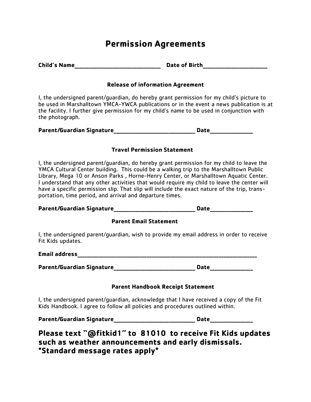## **Permission Agreements**

| <b>Child's Name</b> | <b>Date of Birth</b>   |
|---------------------|------------------------|
|                     |                        |
|                     | ______________________ |

#### **Release of information Agreement**

I, the undersigned parent/guardian, do hereby grant permission for my child's picture to be used in Marshalltown YMCA-YWCA publications or in the event a news publication is at the facility. I further give permission for my child's name to be used in conjunction with the photograph.

| <b>Parent/Guardian Signature</b> | Date |  |
|----------------------------------|------|--|
|----------------------------------|------|--|

#### **Travel Permission Statement**

I, the undersigned parent/guardian, do hereby grant permission for my child to leave the YMCA Cultural Center building. This could be a walking trip to the Marshalltown Public Library, Mega 10 or Anson Parks , Horne-Henry Center, or Marshalltown Aquatic Center. I understand that any other activities that would require my child to leave the center will have a specific permission slip. That slip will include the exact nature of the trip, transportation, time period, and arrival and departure times.

Parent/Guardian Signature **National Science of Executive Contracts** Date

#### **Parent Email Statement**

I, the undersigned parent/guardian, wish to provide my email address in order to receive Fit Kids updates.

**Email address\_\_\_\_\_\_\_\_\_\_\_\_\_\_\_\_\_\_\_\_\_\_\_\_\_\_\_\_\_\_\_\_\_\_\_\_\_\_\_\_\_\_\_\_\_\_\_\_\_\_\_\_\_\_\_\_\_\_\_\_\_\_\_\_\_\_\_\_\_\_\_\_\_\_\_**

Parent/Guardian Signature **No. 2018 Date** 

#### **Parent Handbook Receipt Statement**

I, the undersigned parent/guardian, acknowledge that I have received a copy of the Fit Kids Handbook. I agree to follow all policies and procedures outlined within.

Parent/Guardian Signature **Research Signature Date** 

**Please text "@fitkid1" to 81010 to receive Fit Kids updates such as weather announcements and early dismissals. \*Standard message rates apply\***